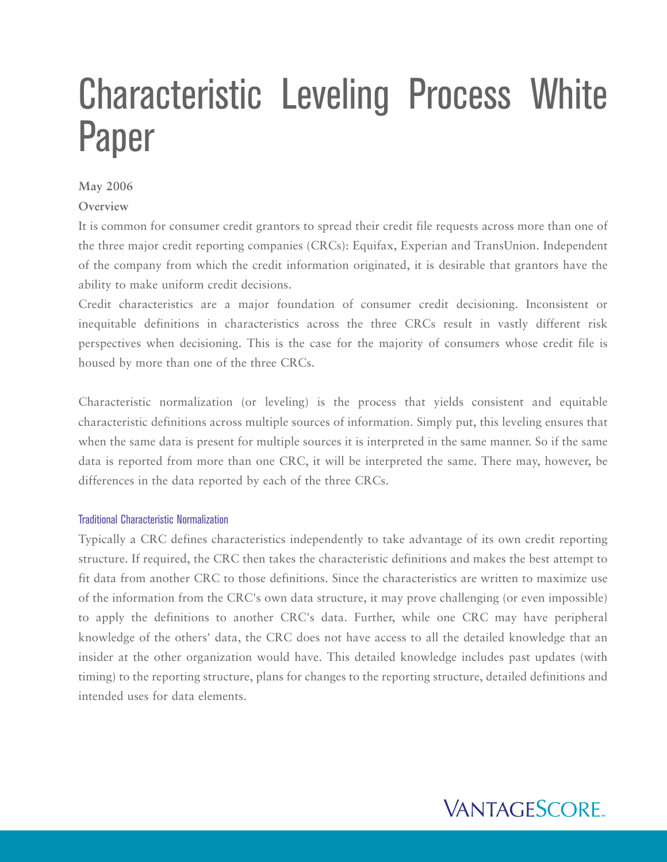# Characteristic Leveling Process White Paper

# **May 2006**

# **Overview**

It is common for consumer credit grantors to spread their credit file requests across more than one of the three major credit reporting companies (CRCs): Equifax, Experian and TransUnion. Independent of the company from which the credit information originated, it is desirable that grantors have the ability to make uniform credit decisions.

Credit characteristics are a major foundation of consumer credit decisioning. Inconsistent or inequitable definitions in characteristics across the three CRCs result in vastly different risk perspectives when decisioning. This is the case for the majority of consumers whose credit file is housed by more than one of the three CRCs.

Characteristic normalization (or leveling) is the process that yields consistent and equitable characteristic definitions across multiple sources of information. Simply put, this leveling ensures that when the same data is present for multiple sources it is interpreted in the same manner. So if the same data is reported from more than one CRC, it will be interpreted the same. There may, however, be differences in the data reported by each of the three CRCs.

## Traditional Characteristic Normalization

Typically a CRC defines characteristics independently to take advantage of its own credit reporting structure. If required, the CRC then takes the characteristic definitions and makes the best attempt to fit data from another CRC to those definitions. Since the characteristics are written to maximize use of the information from the CRC's own data structure, it may prove challenging (or even impossible) to apply the definitions to another CRC's data. Further, while one CRC may have peripheral knowledge of the others' data, the CRC does not have access to all the detailed knowledge that an insider at the other organization would have. This detailed knowledge includes past updates (with timing) to the reporting structure, plans for changes to the reporting structure, detailed definitions and intended uses for data elements.

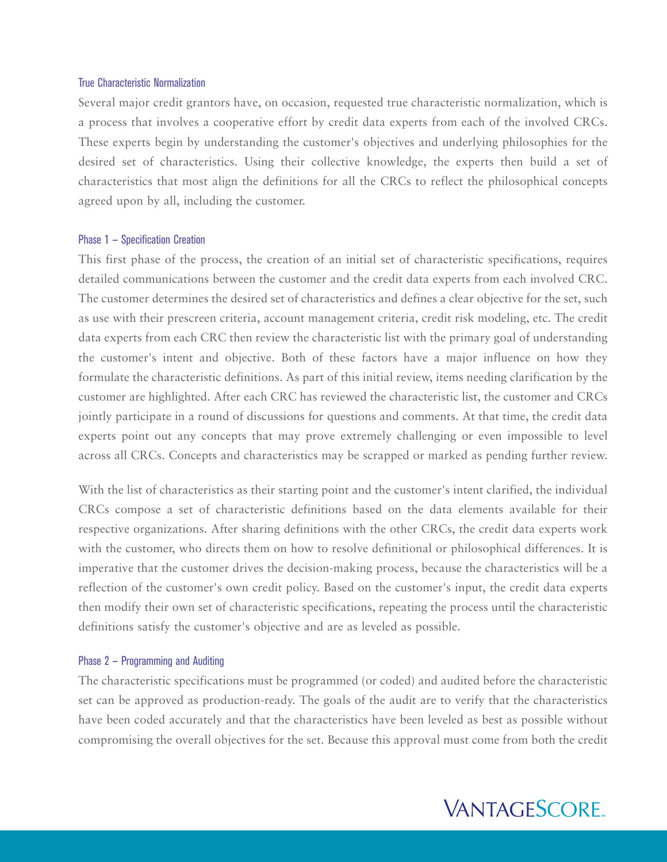#### True Characteristic Normalization

Several major credit grantors have, on occasion, requested true characteristic normalization, which is a process that involves a cooperative effort by credit data experts from each of the involved CRCs. These experts begin by understanding the customer's objectives and underlying philosophies for the desired set of characteristics. Using their collective knowledge, the experts then build a set of characteristics that most align the definitions for all the CRCs to reflect the philosophical concepts agreed upon by all, including the customer.

#### Phase 1 — Specification Creation

This first phase of the process, the creation of an initial set of characteristic specifications, requires detailed communications between the customer and the credit data experts from each involved CRC. The customer determines the desired set of characteristics and defines a clear objective for the set, such as use with their prescreen criteria, account management criteria, credit risk modeling, etc. The credit data experts from each CRC then review the characteristic list with the primary goal of understanding the customer's intent and objective. Both of these factors have a major influence on how they formulate the characteristic definitions. As part of this initial review, items needing clarification by the customer are highlighted. After each CRC has reviewed the characteristic list, the customer and CRCs jointly participate in a round of discussions for questions and comments. At that time, the credit data experts point out any concepts that may prove extremely challenging or even impossible to level across all CRCs. Concepts and characteristics may be scrapped or marked as pending further review.

With the list of characteristics as their starting point and the customer's intent clarified, the individual CRCs compose a set of characteristic definitions based on the data elements available for their respective organizations. After sharing definitions with the other CRCs, the credit data experts work with the customer, who directs them on how to resolve definitional or philosophical differences. It is imperative that the customer drives the decision-making process, because the characteristics will be a reflection of the customer's own credit policy. Based on the customer's input, the credit data experts then modify their own set of characteristic specifications, repeating the process until the characteristic definitions satisfy the customer's objective and are as leveled as possible.

## Phase 2 — Programming and Auditing

The characteristic specifications must be programmed (or coded) and audited before the characteristic set can be approved as production-ready. The goals of the audit are to verify that the characteristics have been coded accurately and that the characteristics have been leveled as best as possible without compromising the overall objectives for the set. Because this approval must come from both the credit

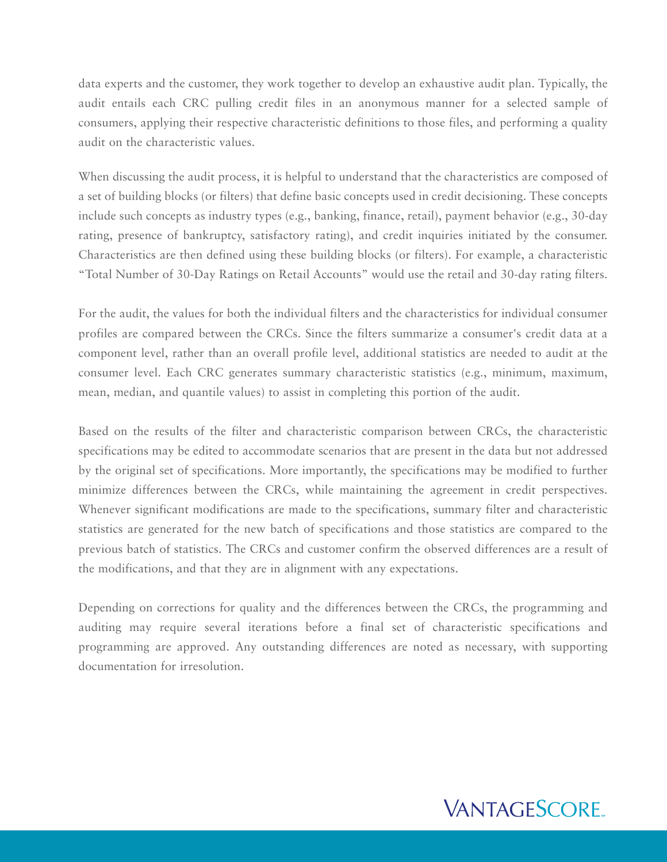data experts and the customer, they work together to develop an exhaustive audit plan. Typically, the audit entails each CRC pulling credit files in an anonymous manner for a selected sample of consumers, applying their respective characteristic definitions to those files, and performing a quality audit on the characteristic values.

When discussing the audit process, it is helpful to understand that the characteristics are composed of a set of building blocks (or filters) that define basic concepts used in credit decisioning. These concepts include such concepts as industry types (e.g., banking, finance, retail), payment behavior (e.g., 30-day rating, presence of bankruptcy, satisfactory rating), and credit inquiries initiated by the consumer. Characteristics are then defined using these building blocks (or filters). For example, a characteristic "Total Number of 30-Day Ratings on Retail Accounts" would use the retail and 30-day rating filters.

For the audit, the values for both the individual filters and the characteristics for individual consumer profiles are compared between the CRCs. Since the filters summarize a consumer's credit data at a component level, rather than an overall profile level, additional statistics are needed to audit at the consumer level. Each CRC generates summary characteristic statistics (e.g., minimum, maximum, mean, median, and quantile values) to assist in completing this portion of the audit.

Based on the results of the filter and characteristic comparison between CRCs, the characteristic specifications may be edited to accommodate scenarios that are present in the data but not addressed by the original set of specifications. More importantly, the specifications may be modified to further minimize differences between the CRCs, while maintaining the agreement in credit perspectives. Whenever significant modifications are made to the specifications, summary filter and characteristic statistics are generated for the new batch of specifications and those statistics are compared to the previous batch of statistics. The CRCs and customer confirm the observed differences are a result of the modifications, and that they are in alignment with any expectations.

Depending on corrections for quality and the differences between the CRCs, the programming and auditing may require several iterations before a final set of characteristic specifications and programming are approved. Any outstanding differences are noted as necessary, with supporting documentation for irresolution.

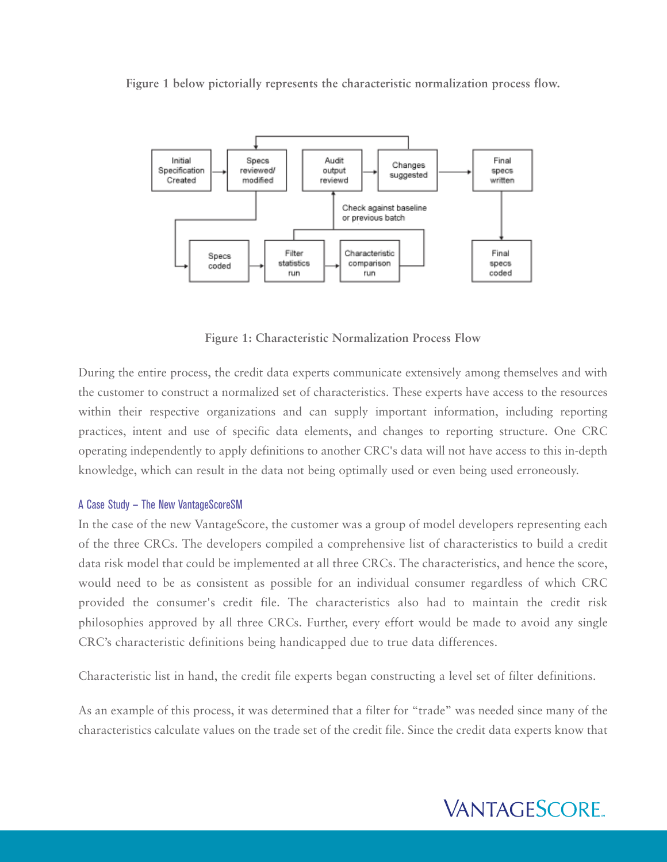**Figure 1 below pictorially represents the characteristic normalization process flow.**



**Figure 1: Characteristic Normalization Process Flow**

During the entire process, the credit data experts communicate extensively among themselves and with the customer to construct a normalized set of characteristics. These experts have access to the resources within their respective organizations and can supply important information, including reporting practices, intent and use of specific data elements, and changes to reporting structure. One CRC operating independently to apply definitions to another CRC's data will not have access to this in-depth knowledge, which can result in the data not being optimally used or even being used erroneously.

## A Case Study — The New VantageScoreSM

In the case of the new VantageScore, the customer was a group of model developers representing each of the three CRCs. The developers compiled a comprehensive list of characteristics to build a credit data risk model that could be implemented at all three CRCs. The characteristics, and hence the score, would need to be as consistent as possible for an individual consumer regardless of which CRC provided the consumer's credit file. The characteristics also had to maintain the credit risk philosophies approved by all three CRCs. Further, every effort would be made to avoid any single CRC's characteristic definitions being handicapped due to true data differences.

Characteristic list in hand, the credit file experts began constructing a level set of filter definitions.

As an example of this process, it was determined that a filter for "trade" was needed since many of the characteristics calculate values on the trade set of the credit file. Since the credit data experts know that

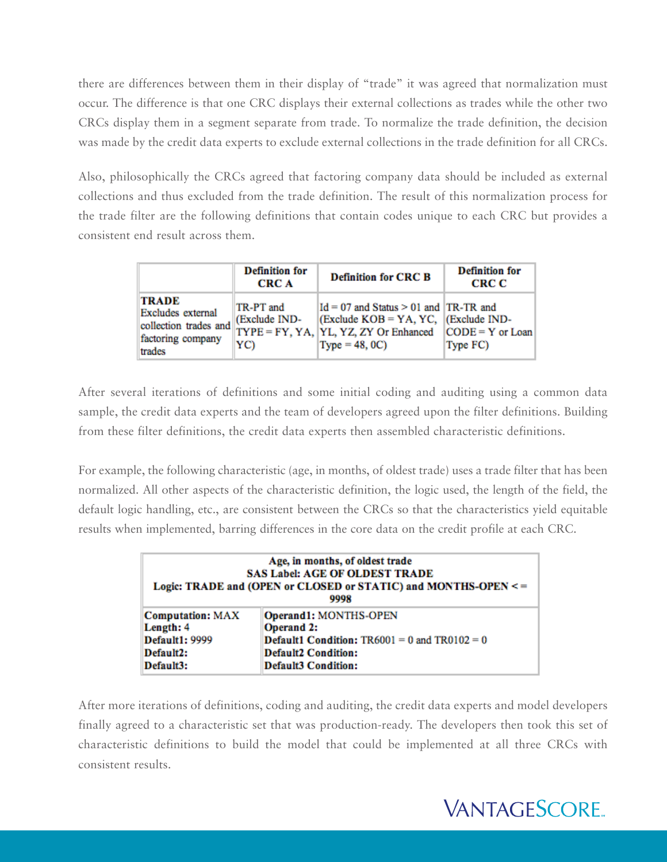there are differences between them in their display of "trade" it was agreed that normalization must occur. The difference is that one CRC displays their external collections as trades while the other two CRCs display them in a segment separate from trade. To normalize the trade definition, the decision was made by the credit data experts to exclude external collections in the trade definition for all CRCs.

Also, philosophically the CRCs agreed that factoring company data should be included as external collections and thus excluded from the trade definition. The result of this normalization process for the trade filter are the following definitions that contain codes unique to each CRC but provides a consistent end result across them.

|                                                                                           | <b>Definition for</b><br><b>CRC A</b> | <b>Definition for CRC B</b>                                                                                                                          | <b>Definition for</b><br>CRC C |
|-------------------------------------------------------------------------------------------|---------------------------------------|------------------------------------------------------------------------------------------------------------------------------------------------------|--------------------------------|
| <b>TRADE</b><br>Excludes external<br>collection trades and<br>factoring company<br>trades | TR-PT and<br>(Exclude IND-<br>YC)     | $Id = 07$ and Status $> 01$ and $ TR - TR$ and<br>(Exclude $KOB = YA$ , YC, (Exclude IND-<br>TYPE = FY, YA, YL, YZ, ZY Or Enhanced<br>$Type = 48,0C$ | $CODE = Y$ or Loan<br>Type FC) |

After several iterations of definitions and some initial coding and auditing using a common data sample, the credit data experts and the team of developers agreed upon the filter definitions. Building from these filter definitions, the credit data experts then assembled characteristic definitions.

For example, the following characteristic (age, in months, of oldest trade) uses a trade filter that has been normalized. All other aspects of the characteristic definition, the logic used, the length of the field, the default logic handling, etc., are consistent between the CRCs so that the characteristics yield equitable results when implemented, barring differences in the core data on the credit profile at each CRC.

| Age, in months, of oldest trade<br><b>SAS Label: AGE OF OLDEST TRADE</b><br>Logic: TRADE and (OPEN or CLOSED or STATIC) and MONTHS-OPEN <=<br>9998 |                                                          |  |
|----------------------------------------------------------------------------------------------------------------------------------------------------|----------------------------------------------------------|--|
| <b>Computation: MAX</b><br>Length: 4                                                                                                               | Operand1: MONTHS-OPEN<br><b>Operand 2:</b>               |  |
| <b>Default1: 9999</b>                                                                                                                              | <b>Default1 Condition:</b> $TR6001 = 0$ and $TR0102 = 0$ |  |
| Default2:                                                                                                                                          | <b>Default2 Condition:</b>                               |  |
| Default3:                                                                                                                                          | <b>Default3 Condition:</b>                               |  |

After more iterations of definitions, coding and auditing, the credit data experts and model developers finally agreed to a characteristic set that was production-ready. The developers then took this set of characteristic definitions to build the model that could be implemented at all three CRCs with consistent results.